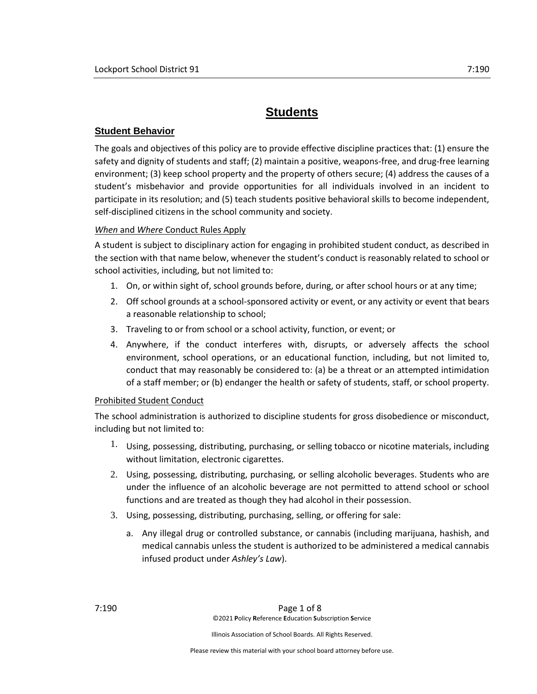# **Students**

# **Student Behavior**

The goals and objectives of this policy are to provide effective discipline practices that: (1) ensure the safety and dignity of students and staff; (2) maintain a positive, weapons-free, and drug-free learning environment; (3) keep school property and the property of others secure; (4) address the causes of a student's misbehavior and provide opportunities for all individuals involved in an incident to participate in its resolution; and (5) teach students positive behavioral skills to become independent, self-disciplined citizens in the school community and society.

# *When* and *Where* Conduct Rules Apply

A student is subject to disciplinary action for engaging in prohibited student conduct, as described in the section with that name below, whenever the student's conduct is reasonably related to school or school activities, including, but not limited to:

- 1. On, or within sight of, school grounds before, during, or after school hours or at any time;
- 2. Off school grounds at a school-sponsored activity or event, or any activity or event that bears a reasonable relationship to school;
- 3. Traveling to or from school or a school activity, function, or event; or
- 4. Anywhere, if the conduct interferes with, disrupts, or adversely affects the school environment, school operations, or an educational function, including, but not limited to, conduct that may reasonably be considered to: (a) be a threat or an attempted intimidation of a staff member; or (b) endanger the health or safety of students, staff, or school property.

# Prohibited Student Conduct

The school administration is authorized to discipline students for gross disobedience or misconduct, including but not limited to:

- $1.$  Using, possessing, distributing, purchasing, or selling tobacco or nicotine materials, including without limitation, electronic cigarettes.
- 2. Using, possessing, distributing, purchasing, or selling alcoholic beverages. Students who are under the influence of an alcoholic beverage are not permitted to attend school or school functions and are treated as though they had alcohol in their possession.
- 3. Using, possessing, distributing, purchasing, selling, or offering for sale:
	- a. Any illegal drug or controlled substance, or cannabis (including marijuana, hashish, and medical cannabis unless the student is authorized to be administered a medical cannabis infused product under *Ashley's Law*).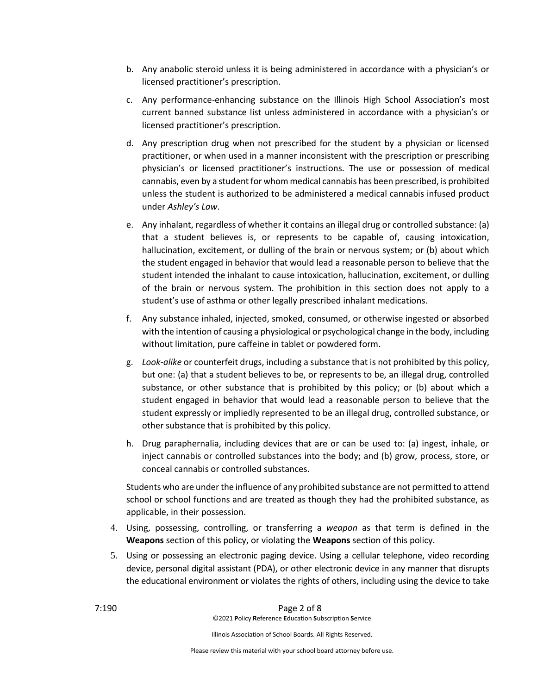- b. Any anabolic steroid unless it is being administered in accordance with a physician's or licensed practitioner's prescription.
- c. Any performance-enhancing substance on the Illinois High School Association's most current banned substance list unless administered in accordance with a physician's or licensed practitioner's prescription.
- d. Any prescription drug when not prescribed for the student by a physician or licensed practitioner, or when used in a manner inconsistent with the prescription or prescribing physician's or licensed practitioner's instructions. The use or possession of medical cannabis, even by a student for whom medical cannabis has been prescribed, is prohibited unless the student is authorized to be administered a medical cannabis infused product under *Ashley's Law*.
- e. Any inhalant, regardless of whether it contains an illegal drug or controlled substance: (a) that a student believes is, or represents to be capable of, causing intoxication, hallucination, excitement, or dulling of the brain or nervous system; or (b) about which the student engaged in behavior that would lead a reasonable person to believe that the student intended the inhalant to cause intoxication, hallucination, excitement, or dulling of the brain or nervous system. The prohibition in this section does not apply to a student's use of asthma or other legally prescribed inhalant medications.
- f. Any substance inhaled, injected, smoked, consumed, or otherwise ingested or absorbed with the intention of causing a physiological or psychological change in the body, including without limitation, pure caffeine in tablet or powdered form.
- g. *Look-alike* or counterfeit drugs, including a substance that is not prohibited by this policy, but one: (a) that a student believes to be, or represents to be, an illegal drug, controlled substance, or other substance that is prohibited by this policy; or (b) about which a student engaged in behavior that would lead a reasonable person to believe that the student expressly or impliedly represented to be an illegal drug, controlled substance, or other substance that is prohibited by this policy.
- h. Drug paraphernalia, including devices that are or can be used to: (a) ingest, inhale, or inject cannabis or controlled substances into the body; and (b) grow, process, store, or conceal cannabis or controlled substances.

Students who are under the influence of any prohibited substance are not permitted to attend school or school functions and are treated as though they had the prohibited substance, as applicable, in their possession.

- 4. Using, possessing, controlling, or transferring a *weapon* as that term is defined in the **Weapons** section of this policy, or violating the **Weapons** section of this policy.
- 5. Using or possessing an electronic paging device. Using a cellular telephone, video recording device, personal digital assistant (PDA), or other electronic device in any manner that disrupts the educational environment or violates the rights of others, including using the device to take

7:190 Page 2 of 8 ©2021 **P**olicy **R**eference **E**ducation **S**ubscription **S**ervice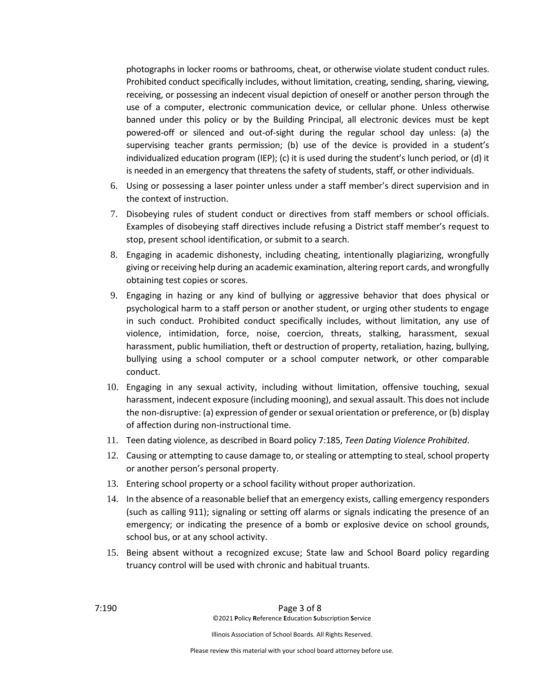photographs in locker rooms or bathrooms, cheat, or otherwise violate student conduct rules. Prohibited conduct specifically includes, without limitation, creating, sending, sharing, viewing, receiving, or possessing an indecent visual depiction of oneself or another person through the use of a computer, electronic communication device, or cellular phone. Unless otherwise banned under this policy or by the Building Principal, all electronic devices must be kept powered-off or silenced and out-of-sight during the regular school day unless: (a) the supervising teacher grants permission; (b) use of the device is provided in a student's individualized education program (IEP); (c) it is used during the student's lunch period, or (d) it is needed in an emergency that threatens the safety of students, staff, or other individuals.

- 6. Using or possessing a laser pointer unless under a staff member's direct supervision and in the context of instruction.
- 7. Disobeying rules of student conduct or directives from staff members or school officials. Examples of disobeying staff directives include refusing a District staff member's request to stop, present school identification, or submit to a search.
- 8. Engaging in academic dishonesty, including cheating, intentionally plagiarizing, wrongfully giving or receiving help during an academic examination, altering report cards, and wrongfully obtaining test copies or scores.
- 9. Engaging in hazing or any kind of bullying or aggressive behavior that does physical or psychological harm to a staff person or another student, or urging other students to engage in such conduct. Prohibited conduct specifically includes, without limitation, any use of violence, intimidation, force, noise, coercion, threats, stalking, harassment, sexual harassment, public humiliation, theft or destruction of property, retaliation, hazing, bullying, bullying using a school computer or a school computer network, or other comparable conduct.
- 10. Engaging in any sexual activity, including without limitation, offensive touching, sexual harassment, indecent exposure (including mooning), and sexual assault. This does not include the non-disruptive: (a) expression of gender or sexual orientation or preference, or (b) display of affection during non-instructional time.
- 11. Teen dating violence, as described in Board policy 7:185, *Teen Dating Violence Prohibited*.
- 12. Causing or attempting to cause damage to, or stealing or attempting to steal, school property or another person's personal property.
- 13. Entering school property or a school facility without proper authorization.
- 14. In the absence of a reasonable belief that an emergency exists, calling emergency responders (such as calling 911); signaling or setting off alarms or signals indicating the presence of an emergency; or indicating the presence of a bomb or explosive device on school grounds, school bus, or at any school activity.
- 15. Being absent without a recognized excuse; State law and School Board policy regarding truancy control will be used with chronic and habitual truants.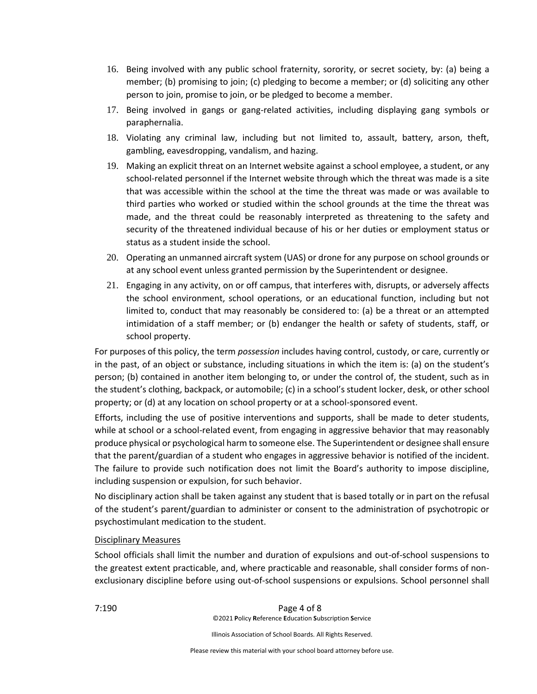- 16. Being involved with any public school fraternity, sorority, or secret society, by: (a) being a member; (b) promising to join; (c) pledging to become a member; or (d) soliciting any other person to join, promise to join, or be pledged to become a member.
- 17. Being involved in gangs or gang-related activities, including displaying gang symbols or paraphernalia.
- 18. Violating any criminal law, including but not limited to, assault, battery, arson, theft, gambling, eavesdropping, vandalism, and hazing.
- 19. Making an explicit threat on an Internet website against a school employee, a student, or any school-related personnel if the Internet website through which the threat was made is a site that was accessible within the school at the time the threat was made or was available to third parties who worked or studied within the school grounds at the time the threat was made, and the threat could be reasonably interpreted as threatening to the safety and security of the threatened individual because of his or her duties or employment status or status as a student inside the school.
- 20. Operating an unmanned aircraft system (UAS) or drone for any purpose on school grounds or at any school event unless granted permission by the Superintendent or designee.
- 21. Engaging in any activity, on or off campus, that interferes with, disrupts, or adversely affects the school environment, school operations, or an educational function, including but not limited to, conduct that may reasonably be considered to: (a) be a threat or an attempted intimidation of a staff member; or (b) endanger the health or safety of students, staff, or school property.

For purposes of this policy, the term *possession* includes having control, custody, or care, currently or in the past, of an object or substance, including situations in which the item is: (a) on the student's person; (b) contained in another item belonging to, or under the control of, the student, such as in the student's clothing, backpack, or automobile; (c) in a school's student locker, desk, or other school property; or (d) at any location on school property or at a school-sponsored event.

Efforts, including the use of positive interventions and supports, shall be made to deter students, while at school or a school-related event, from engaging in aggressive behavior that may reasonably produce physical or psychological harm to someone else. The Superintendent or designee shall ensure that the parent/guardian of a student who engages in aggressive behavior is notified of the incident. The failure to provide such notification does not limit the Board's authority to impose discipline, including suspension or expulsion, for such behavior.

No disciplinary action shall be taken against any student that is based totally or in part on the refusal of the student's parent/guardian to administer or consent to the administration of psychotropic or psychostimulant medication to the student.

# Disciplinary Measures

School officials shall limit the number and duration of expulsions and out-of-school suspensions to the greatest extent practicable, and, where practicable and reasonable, shall consider forms of nonexclusionary discipline before using out-of-school suspensions or expulsions. School personnel shall

7:190 Page 4 of 8 ©2021 **P**olicy **R**eference **E**ducation **S**ubscription **S**ervice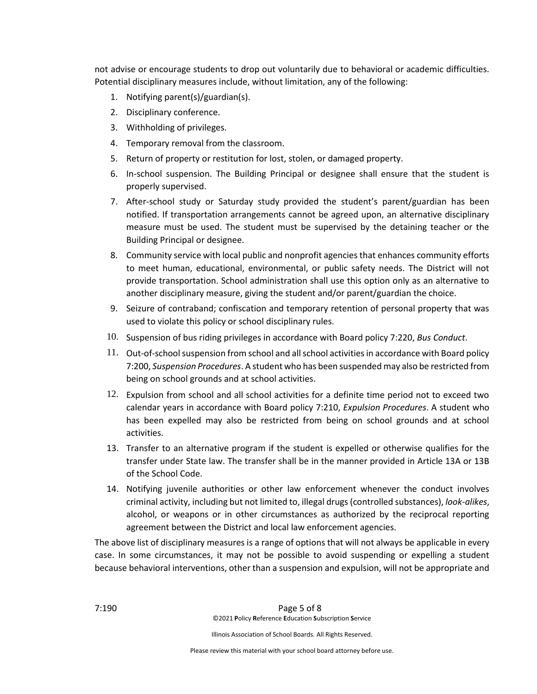not advise or encourage students to drop out voluntarily due to behavioral or academic difficulties. Potential disciplinary measures include, without limitation, any of the following:

- 1. Notifying parent(s)/guardian(s).
- 2. Disciplinary conference.
- 3. Withholding of privileges.
- 4. Temporary removal from the classroom.
- 5. Return of property or restitution for lost, stolen, or damaged property.
- 6. In-school suspension. The Building Principal or designee shall ensure that the student is properly supervised.
- 7. After-school study or Saturday study provided the student's parent/guardian has been notified. If transportation arrangements cannot be agreed upon, an alternative disciplinary measure must be used. The student must be supervised by the detaining teacher or the Building Principal or designee.
- 8. Community service with local public and nonprofit agencies that enhances community efforts to meet human, educational, environmental, or public safety needs. The District will not provide transportation. School administration shall use this option only as an alternative to another disciplinary measure, giving the student and/or parent/guardian the choice.
- 9. Seizure of contraband; confiscation and temporary retention of personal property that was used to violate this policy or school disciplinary rules.
- 10. Suspension of bus riding privileges in accordance with Board policy 7:220, *Bus Conduct*.
- 11. Out-of-school suspension from school and all school activities in accordance with Board policy 7:200, *Suspension Procedures*. A student who has been suspended may also be restricted from being on school grounds and at school activities.
- 12. Expulsion from school and all school activities for a definite time period not to exceed two calendar years in accordance with Board policy 7:210, *Expulsion Procedures*. A student who has been expelled may also be restricted from being on school grounds and at school activities.
- 13. Transfer to an alternative program if the student is expelled or otherwise qualifies for the transfer under State law. The transfer shall be in the manner provided in Article 13A or 13B of the School Code.
- 14. Notifying juvenile authorities or other law enforcement whenever the conduct involves criminal activity, including but not limited to, illegal drugs (controlled substances), *look-alikes*, alcohol, or weapons or in other circumstances as authorized by the reciprocal reporting agreement between the District and local law enforcement agencies.

The above list of disciplinary measures is a range of options that will not always be applicable in every case. In some circumstances, it may not be possible to avoid suspending or expelling a student because behavioral interventions, other than a suspension and expulsion, will not be appropriate and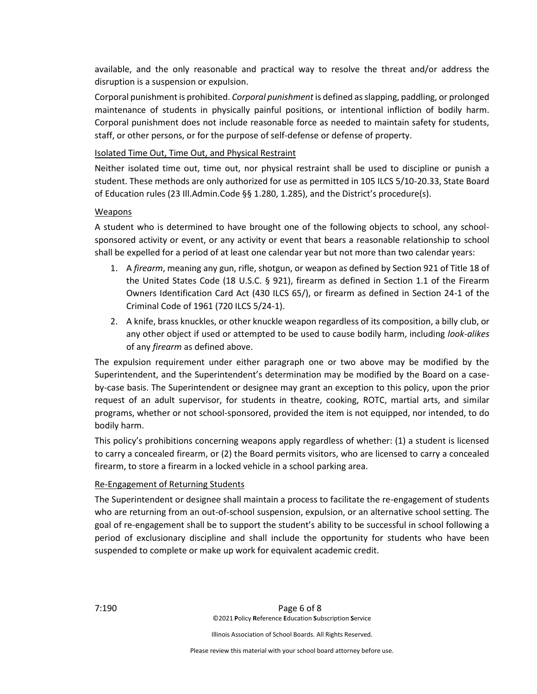available, and the only reasonable and practical way to resolve the threat and/or address the disruption is a suspension or expulsion.

Corporal punishment is prohibited. *Corporal punishment* is defined as slapping, paddling, or prolonged maintenance of students in physically painful positions, or intentional infliction of bodily harm. Corporal punishment does not include reasonable force as needed to maintain safety for students, staff, or other persons, or for the purpose of self-defense or defense of property.

### Isolated Time Out, Time Out, and Physical Restraint

Neither isolated time out, time out, nor physical restraint shall be used to discipline or punish a student. These methods are only authorized for use as permitted in 105 ILCS 5/10-20.33, State Board of Education rules (23 Ill.Admin.Code §§ 1.280, 1.285), and the District's procedure(s).

### Weapons

A student who is determined to have brought one of the following objects to school, any schoolsponsored activity or event, or any activity or event that bears a reasonable relationship to school shall be expelled for a period of at least one calendar year but not more than two calendar years:

- 1. A *firearm*, meaning any gun, rifle, shotgun, or weapon as defined by Section 921 of Title 18 of the United States Code (18 U.S.C. § 921), firearm as defined in Section 1.1 of the Firearm Owners Identification Card Act (430 ILCS 65/), or firearm as defined in Section 24-1 of the Criminal Code of 1961 (720 ILCS 5/24-1).
- 2. A knife, brass knuckles, or other knuckle weapon regardless of its composition, a billy club, or any other object if used or attempted to be used to cause bodily harm, including *look-alikes* of any *firearm* as defined above.

The expulsion requirement under either paragraph one or two above may be modified by the Superintendent, and the Superintendent's determination may be modified by the Board on a caseby-case basis. The Superintendent or designee may grant an exception to this policy, upon the prior request of an adult supervisor, for students in theatre, cooking, ROTC, martial arts, and similar programs, whether or not school-sponsored, provided the item is not equipped, nor intended, to do bodily harm.

This policy's prohibitions concerning weapons apply regardless of whether: (1) a student is licensed to carry a concealed firearm, or (2) the Board permits visitors, who are licensed to carry a concealed firearm, to store a firearm in a locked vehicle in a school parking area.

#### Re-Engagement of Returning Students

The Superintendent or designee shall maintain a process to facilitate the re-engagement of students who are returning from an out-of-school suspension, expulsion, or an alternative school setting. The goal of re-engagement shall be to support the student's ability to be successful in school following a period of exclusionary discipline and shall include the opportunity for students who have been suspended to complete or make up work for equivalent academic credit.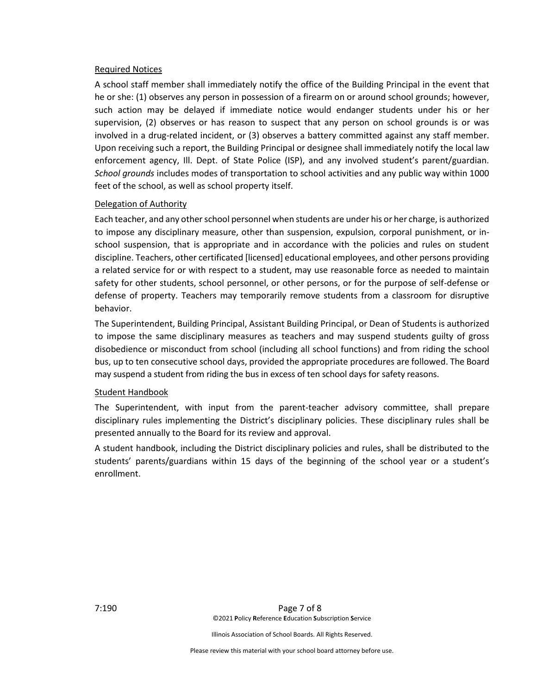#### Required Notices

A school staff member shall immediately notify the office of the Building Principal in the event that he or she: (1) observes any person in possession of a firearm on or around school grounds; however, such action may be delayed if immediate notice would endanger students under his or her supervision, (2) observes or has reason to suspect that any person on school grounds is or was involved in a drug-related incident, or (3) observes a battery committed against any staff member. Upon receiving such a report, the Building Principal or designee shall immediately notify the local law enforcement agency, Ill. Dept. of State Police (ISP), and any involved student's parent/guardian. *School grounds* includes modes of transportation to school activities and any public way within 1000 feet of the school, as well as school property itself.

#### Delegation of Authority

Each teacher, and any other school personnel when students are under his or her charge, is authorized to impose any disciplinary measure, other than suspension, expulsion, corporal punishment, or inschool suspension, that is appropriate and in accordance with the policies and rules on student discipline. Teachers, other certificated [licensed] educational employees, and other persons providing a related service for or with respect to a student, may use reasonable force as needed to maintain safety for other students, school personnel, or other persons, or for the purpose of self-defense or defense of property. Teachers may temporarily remove students from a classroom for disruptive behavior.

The Superintendent, Building Principal, Assistant Building Principal, or Dean of Students is authorized to impose the same disciplinary measures as teachers and may suspend students guilty of gross disobedience or misconduct from school (including all school functions) and from riding the school bus, up to ten consecutive school days, provided the appropriate procedures are followed. The Board may suspend a student from riding the bus in excess of ten school days for safety reasons.

#### Student Handbook

The Superintendent, with input from the parent-teacher advisory committee, shall prepare disciplinary rules implementing the District's disciplinary policies. These disciplinary rules shall be presented annually to the Board for its review and approval.

A student handbook, including the District disciplinary policies and rules, shall be distributed to the students' parents/guardians within 15 days of the beginning of the school year or a student's enrollment.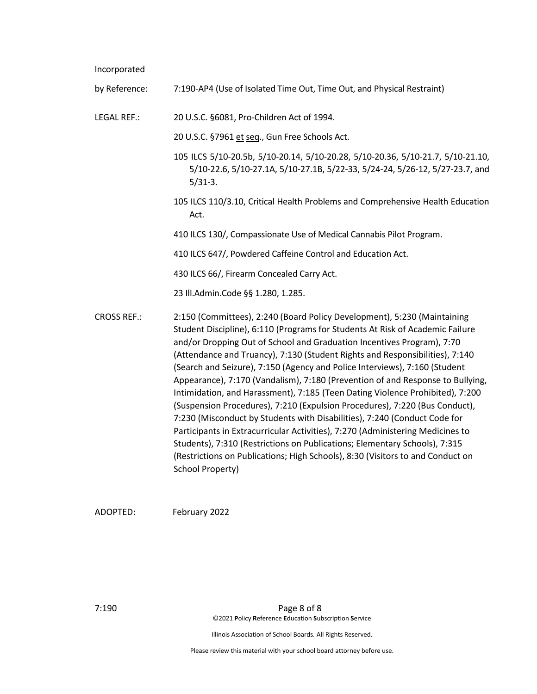Incorporated

by Reference: 7:190-AP4 (Use of Isolated Time Out, Time Out, and Physical Restraint)

LEGAL REF.: 20 U.S.C. §6081, Pro-Children Act of 1994.

20 U.S.C. §7961 et seq., Gun Free Schools Act.

- 105 ILCS 5/10-20.5b, 5/10-20.14, 5/10-20.28, 5/10-20.36, 5/10-21.7, 5/10-21.10, 5/10-22.6, 5/10-27.1A, 5/10-27.1B, 5/22-33, 5/24-24, 5/26-12, 5/27-23.7, and 5/31-3.
- 105 ILCS 110/3.10, Critical Health Problems and Comprehensive Health Education Act.

410 ILCS 130/, Compassionate Use of Medical Cannabis Pilot Program.

410 ILCS 647/, Powdered Caffeine Control and Education Act.

430 ILCS 66/, Firearm Concealed Carry Act.

23 Ill.Admin.Code §§ 1.280, 1.285.

CROSS REF.: 2:150 (Committees), 2:240 (Board Policy Development), 5:230 (Maintaining Student Discipline), 6:110 (Programs for Students At Risk of Academic Failure and/or Dropping Out of School and Graduation Incentives Program), 7:70 (Attendance and Truancy), 7:130 (Student Rights and Responsibilities), 7:140 (Search and Seizure), 7:150 (Agency and Police Interviews), 7:160 (Student Appearance), 7:170 (Vandalism), 7:180 (Prevention of and Response to Bullying, Intimidation, and Harassment), 7:185 (Teen Dating Violence Prohibited), 7:200 (Suspension Procedures), 7:210 (Expulsion Procedures), 7:220 (Bus Conduct), 7:230 (Misconduct by Students with Disabilities), 7:240 (Conduct Code for Participants in Extracurricular Activities), 7:270 (Administering Medicines to Students), 7:310 (Restrictions on Publications; Elementary Schools), 7:315 (Restrictions on Publications; High Schools), 8:30 (Visitors to and Conduct on School Property)

ADOPTED: February 2022

7:190 Page 8 of 8 ©2021 **P**olicy **R**eference **E**ducation **S**ubscription **S**ervice

Illinois Association of School Boards. All Rights Reserved.

Please review this material with your school board attorney before use.